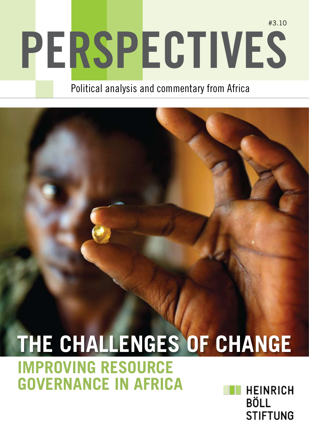# **Perspectives** #3.10

Political analysis and commentary from Africa

## **The Challenges of Change Improving Resource Governance in AfricaHEINRICH**

**BÖLL STIFTUNG**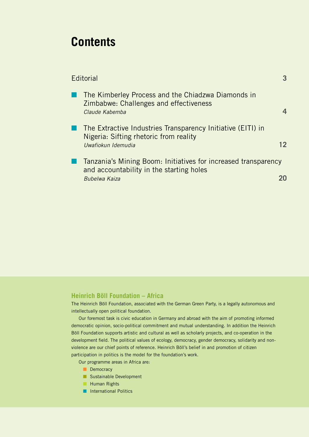## **Contents**

| Editorial                                                                                                                   |  |
|-----------------------------------------------------------------------------------------------------------------------------|--|
| The Kimberley Process and the Chiadzwa Diamonds in<br>Zimbabwe: Challenges and effectiveness<br>Claude Kabemba              |  |
| The Extractive Industries Transparency Initiative (EITI) in<br>Nigeria: Sifting rhetoric from reality<br>Uwafiokun Idemudia |  |
| Tanzania's Mining Boom: Initiatives for increased transparency<br>and accountability in the starting holes<br>Bubelwa Kaiza |  |

### **Heinrich Böll Foundation – Africa**

The Heinrich Böll Foundation, associated with the German Green Party, is a legally autonomous and intellectually open political foundation.

Our foremost task is civic education in Germany and abroad with the aim of promoting informed democratic opinion, socio-political commitment and mutual understanding. In addition the Heinrich Böll Foundation supports artistic and cultural as well as scholarly projects, and co-operation in the development field. The political values of ecology, democracy, gender democracy, solidarity and nonviolence are our chief points of reference. Heinrich Böll's belief in and promotion of citizen participation in politics is the model for the foundation's work.

Our programme areas in Africa are:

- Democracy
- **n** Sustainable Development
- **Human Rights**
- n International Politics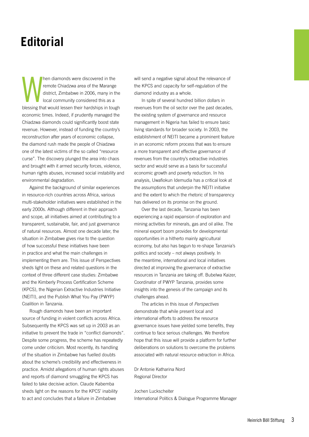## **Editorial**

W hen diamonds were discovered in the remote Chiadzwa area of the Marange district, Zimbabwe in 2006, many in the local community considered this as a blessing that would lessen their hardships in tough economic times. Indeed, if prudently managed the Chiadzwa diamonds could significantly boost state revenue. However, instead of funding the country's reconstruction after years of economic collapse, the diamond rush made the people of Chiadzwa one of the latest victims of the so called "resource curse". The discovery plunged the area into chaos and brought with it armed security forces, violence, human rights abuses, increased social instability and environmental degradation.

Against the background of similar experiences in resource-rich countries across Africa, various multi-stakeholder initiatives were established in the early 2000s. Although different in their approach and scope, all initiatives aimed at contributing to a transparent, sustainable, fair, and just governance of natural resources. Almost one decade later, the situation in Zimbabwe gives rise to the question of how successful these initiatives have been in practice and what the main challenges in implementing them are. This issue of Perspectives sheds light on these and related questions in the context of three different case studies: Zimbabwe and the Kimberly Process Certification Scheme (KPCS), the Nigerian Extractive Industries Initiative (NEITI), and the Publish What You Pay (PWYP) Coalition in Tanzania.

Rough diamonds have been an important source of funding in violent conflicts across Africa. Subsequently the KPCS was set up in 2003 as an initiative to prevent the trade in "conflict diamonds". Despite some progress, the scheme has repeatedly come under criticism. Most recently, its handling of the situation in Zimbabwe has fuelled doubts about the scheme's credibility and effectiveness in practice. Amidst allegations of human rights abuses and reports of diamond smuggling the KPCS has failed to take decisive action. Claude Kabemba sheds light on the reasons for the KPCS' inability to act and concludes that a failure in Zimbabwe

will send a negative signal about the relevance of the KPCS and capacity for self-regulation of the diamond industry as a whole.

In spite of several hundred billion dollars in revenues from the oil sector over the past decades, the existing system of governance and resource management in Nigeria has failed to ensure basic living standards for broader society. In 2003, the establishment of NEITI became a prominent feature in an economic reform process that was to ensure a more transparent and effective governance of revenues from the country's extractive industries sector and would serve as a basis for successful economic growth and poverty reduction. In his analysis, Uwafiokun Idemudia has a critical look at the assumptions that underpin the NEITI initiative and the extent to which the rhetoric of transparency has delivered on its promise on the ground.

Over the last decade, Tanzania has been experiencing a rapid expansion of exploration and mining activities for minerals, gas and oil alike. The mineral export boom provides for developmental opportunities in a hitherto mainly agricultural economy, but also has begun to re-shape Tanzania's politics and society – not always positively. In the meantime, international and local initiatives directed at improving the governance of extractive resources in Tanzania are taking off. Bubelwa Kaizer, Coordinator of PWYP Tanzania, provides some insights into the genesis of the campaign and its challenges ahead.

The articles in this issue of *Perspectives* demonstrate that while present local and international efforts to address the resource governance issues have yielded some benefits, they continue to face serious challenges. We therefore hope that this issue will provide a platform for further deliberations on solutions to overcome the problems associated with natural resource extraction in Africa.

Dr Antonie Katharina Nord Regional Director

Jochen Luckscheiter International Politics & Dialogue Programme Manager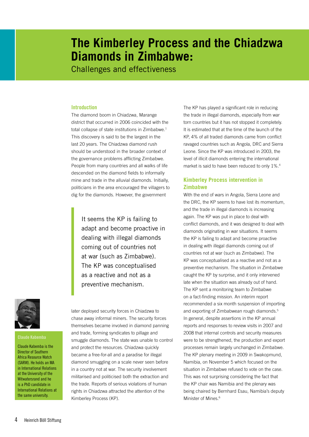## **The Kimberley Process and the Chiadzwa Diamonds in Zimbabwe:**

Challenges and effectiveness

#### **Introduction**

The diamond boom in Chiadzwa, Marange district that occurred in 2006 coincided with the total collapse of state institutions in Zimbabwe.<sup>1</sup> This discovery is said to be the largest in the last 20 years. The Chiadzwa diamond rush should be understood in the broader context of the governance problems afflicting Zimbabwe. People from many countries and all walks of life descended on the diamond fields to informally mine and trade in the alluvial diamonds. Initially, politicians in the area encouraged the villagers to dig for the diamonds. However, the government

> It seems the KP is failing to adapt and become proactive in dealing with illegal diamonds coming out of countries not at war (such as Zimbabwe). The KP was conceptualised as a reactive and not as a preventive mechanism.



#### **Claude Kabemba**

Claude Kabemba is the Director of Southern Africa Resource Watch (SARW). He holds an MA in International Relations at the University of the Witwatersrand and he is a PhD candidate in International Relations at the same university.

later deployed security forces in Chiadzwa to chase away informal miners. The security forces themselves became involved in diamond panning and trade, forming syndicates to pillage and smuggle diamonds. The state was unable to control and protect the resources. Chiadzwa quickly became a free-for-all and a paradise for illegal diamond smuggling on a scale never seen before in a country not at war. The security involvement militarised and politicised both the extraction and the trade. Reports of serious violations of human rights in Chiadzwa attracted the attention of the Kimberley Process (KP).

The KP has played a significant role in reducing the trade in illegal diamonds, especially from war torn countries but it has not stopped it completely. It is estimated that at the time of the launch of the KP, 4% of all traded diamonds came from conflict ravaged countries such as Angola, DRC and Sierra Leone. Since the KP was introduced in 2003, the level of illicit diamonds entering the international market is said to have been reduced to only 1%.4

#### **Kimberley Process intervention in Zimbabwe**

With the end of wars in Angola, Sierra Leone and the DRC, the KP seems to have lost its momentum, and the trade in illegal diamonds is increasing again. The KP was put in place to deal with conflict diamonds, and it was designed to deal with diamonds originating in war situations. It seems the KP is failing to adapt and become proactive in dealing with illegal diamonds coming out of countries not at war (such as Zimbabwe). The KP was conceptualised as a reactive and not as a preventive mechanism. The situation in Zimbabwe caught the KP by surprise, and it only intervened late when the situation was already out of hand. The KP sent a monitoring team to Zimbabwe on a fact-finding mission. An interim report recommended a six month suspension of importing and exporting of Zimbabwean rough diamonds.5 In general, despite assertions in the KP annual reports and responses to review visits in 2007 and 2008 that internal controls and security measures were to be strengthened, the production and export processes remain largely unchanged in Zimbabwe. The KP plenary meeting in 2009 in Swakopmund, Namibia, on November 5 which focused on the situation in Zimbabwe refused to vote on the case. This was not surprising considering the fact that the KP chair was Namibia and the plenary was being chaired by Bernhard Esau, Namibia's deputy Minister of Mines.<sup>6</sup>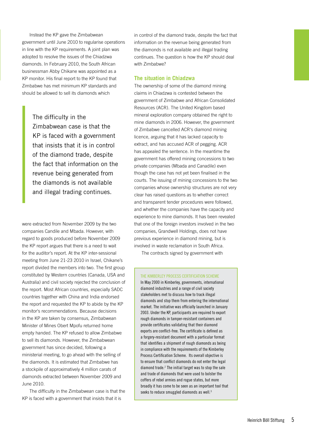Instead the KP gave the Zimbabwean government until June 2010 to regularise operations in line with the KP requirements. A joint plan was adopted to resolve the issues of the Chiadzwa diamonds. In February 2010, the South African businessman Abby Chikane was appointed as a KP monitor. His final report to the KP found that Zimbabwe has met minimum KP standards and should be allowed to sell its diamonds which

The difficulty in the Zimbabwean case is that the KP is faced with a government that insists that it is in control of the diamond trade, despite the fact that information on the revenue being generated from the diamonds is not available and illegal trading continues.

were extracted from November 2009 by the two companies Candile and Mbada. However, with regard to goods produced before November 2009 the KP report argues that there is a need to wait for the auditor's report. At the KP inter-sessional meeting from June 21-23 2010 in Israel, Chikane's report divided the members into two. The first group constituted by Western countries (Canada, USA and Australia) and civil society rejected the conclusion of the report. Most African countries, especially SADC countries together with China and India endorsed the report and requested the KP to abide by the KP monitor's recommendations. Because decisions in the KP are taken by consensus, Zimbabwean Minister of Mines Obert Mpofu returned home empty handed. The KP refused to allow Zimbabwe to sell its diamonds. However, the Zimbabwean government has since decided, following a ministerial meeting, to go ahead with the selling of the diamonds. It is estimated that Zimbabwe has a stockpile of approximatively 4 million carats of diamonds extracted between November 2009 and June 2010.

The difficulty in the Zimbabwean case is that the KP is faced with a government that insists that it is

in control of the diamond trade, despite the fact that information on the revenue being generated from the diamonds is not available and illegal trading continues. The question is how the KP should deal with Zimbabwe?

#### **The situation in Chiadzwa**

The ownership of some of the diamond mining claims in Chiadzwa is contested between the government of Zimbabwe and African Consolidated Resources (ACR). The United Kingdom based mineral exploration company obtained the right to mine diamonds in 2006. However, the government of Zimbabwe cancelled ACR's diamond mining licence, arguing that it has lacked capacity to extract, and has accused ACR of pegging. ACR has appealed the sentence. In the meantime the government has offered mining concessions to two private companies (Mbada and Canadile) even though the case has not yet been finalised in the courts. The issuing of mining concessions to the two companies whose ownership structures are not very clear has raised questions as to whether correct and transparent tender procedures were followed, and whether the companies have the capacity and experience to mine diamonds. It has been revealed that one of the foreign investors involved in the two companies, Grandwell Holdings, does not have previous experience in diamond mining, but is involved in waste reclamation in South Africa.

The contracts signed by government with

#### The Kimberley Process Certification Scheme

In May 2000 in Kimberley, governments, international diamond industries and a range of civil society stakeholders met to discuss how to track illegal diamonds and stop them from entering the international market. The initiative was officially launched in January 2003. Under the KP, participants are required to export rough diamonds in tamper-resistant containers and provide certificates validating that their diamond exports are conflict-free. The certificate is defined as a forgery-resistant document with a particular format that identifies a shipment of rough diamonds as being in compliance with the requirements of the Kimberley Process Certification Scheme. Its overall objective is to ensure that conflict diamonds do not enter the legal diamond trade.<sup>2</sup> The initial target was to stop the sale and trade of diamonds that were used to bolster the coffers of rebel armies and rogue states, but more broadly it has come to be seen as an important tool that seeks to reduce smuggled diamonds as well. $3$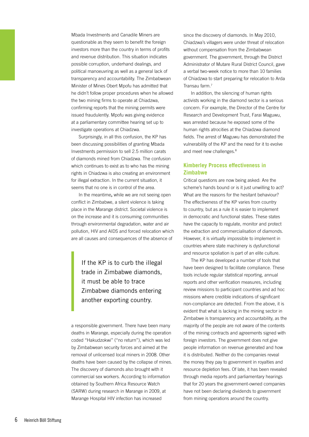Mbada Investments and Canadile Miners are questionable as they seem to benefit the foreign investors more than the country in terms of profits and revenue distribution. This situation indicates possible corruption, underhand dealings, and political manoeuvring as well as a general lack of transparency and accountability. The Zimbabwean Minister of Mines Obert Mpofu has admitted that he didn't follow proper procedures when he allowed the two mining firms to operate at Chiadzwa, confirming reports that the mining permits were issued fraudulently. Mpofu was giving evidence at a parliamentary committee hearing set up to investigate operations at Chiadzwa.

Surprisingly, in all this confusion, the KP has been discussing possibilities of granting Mbada Investments permission to sell 2.5 million carats of diamonds mined from Chiadzwa. The confusion which continues to exist as to who has the mining rights in Chiadzwa is also creating an environment for illegal extraction. In the current situation, it seems that no one is in control of the area.

In the meantime**,** while we are not seeing open conflict in Zimbabwe, a silent violence is taking place in the Marange district. Societal violence is on the increase and it is consuming communities through environmental degradation, water and air pollution, HIV and AIDS and forced relocation which are all causes and consequences of the absence of

> If the KP is to curb the illegal trade in Zimbabwe diamonds, it must be able to trace Zimbabwe diamonds entering another exporting country.

a responsible government. There have been many deaths in Marange, especially during the operation coded "Hakudzokwi" ("no return"), which was led by Zimbabwean security forces and aimed at the removal of unlicensed local miners in 2008. Other deaths have been caused by the collapse of mines. The discovery of diamonds also brought with it commercial sex workers. According to information obtained by Southern Africa Resource Watch (SARW) during research in Marange in 2009, at Marange Hospital HIV infection has increased

since the discovery of diamonds. In May 2010, Chiadzwa's villagers were under threat of relocation without compensation from the Zimbabwean government. The government, through the District Administrator of Mutare Rural District Council, gave a verbal two-week notice to more than 10 families of Chiadzwa to start preparing for relocation to Arda Transau farm.7

In addition, the silencing of human rights activists working in the diamond sector is a serious concern. For example, the Director of the Centre for Research and Development Trust, Farai Maguwu, was arrested because he exposed some of the human rights atrocities at the Chiadzwa diamond fields. The arrest of Maguwu has demonstrated the vulnerability of the KP and the need for it to evolve and meet new challenges.<sup>8</sup>

#### **Kimberley Process effectiveness in Zimbabwe**

Critical questions are now being asked: Are the scheme's hands bound or is it just unwilling to act? What are the reasons for the hesitant behaviour? The effectiveness of the KP varies from country to country, but as a rule it is easier to implement in democratic and functional states. These states have the capacity to regulate, monitor and protect the extraction and commercialisation of diamonds. However, it is virtually impossible to implement in countries where state machinery is dysfunctional and resource spoliation is part of an elite culture.

The KP has developed a number of tools that have been designed to facilitate compliance. These tools include regular statistical reporting, annual reports and other verification measures, including review missions to participant countries and ad hoc missions where credible indications of significant non-compliance are detected. From the above, it is evident that what is lacking in the mining sector in Zimbabwe is transparency and accountability, as the majority of the people are not aware of the contents of the mining contracts and agreements signed with foreign investors. The government does not give people information on revenue generated and how it is distributed. Neither do the companies reveal the money they pay to government in royalties and resource depletion fees. Of late, it has been revealed through media reports and parliamentary hearings that for 20 years the government-owned companies have not been declaring dividends to government from mining operations around the country.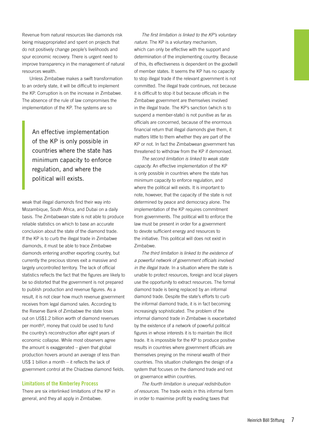Revenue from natural resources like diamonds risk being misappropriated and spent on projects that do not positively change people's livelihoods and spur economic recovery. There is urgent need to improve transparency in the management of natural resources wealth.

Unless Zimbabwe makes a swift transformation to an orderly state, it will be difficult to implement the KP. Corruption is on the increase in Zimbabwe. The absence of the rule of law compromises the implementation of the KP. The systems are so

> An effective implementation of the KP is only possible in countries where the state has minimum capacity to enforce regulation, and where the political will exists.

weak that illegal diamonds find their way into Mozambique, South Africa, and Dubai on a daily basis. The Zimbabwean state is not able to produce reliable statistics on which to base an accurate conclusion about the state of the diamond trade. If the KP is to curb the illegal trade in Zimbabwe diamonds, it must be able to trace Zimbabwe diamonds entering another exporting country, but currently the precious stones exit a massive and largely uncontrolled territory. The lack of official statistics reflects the fact that the figures are likely to be so distorted that the government is not prepared to publish production and revenue figures. As a result, it is not clear how much revenue government receives from legal diamond sales. According to the Reserve Bank of Zimbabwe the state loses out on US\$1.2 billion worth of diamond revenues per month<sup>9</sup>, money that could be used to fund the country's reconstruction after eight years of economic collapse. While most observers agree the amount is exaggerated – given that global production hovers around an average of less than US\$ 1 billion a month – it reflects the lack of government control at the Chiadzwa diamond fields.

#### **Limitations of the Kimberley Process**

There are six interlinked limitations of the KP in general, and they all apply in Zimbabwe.

*The first limitation is linked to the KP's voluntary nature.* The KP is a voluntary mechanism, which can only be effective with the support and determination of the implementing country. Because of this, its effectiveness is dependent on the goodwill of member states. It seems the KP has no capacity to stop illegal trade if the relevant government is not committed. The illegal trade continues, not because it is difficult to stop it but because officials in the Zimbabwe government are themselves involved in the illegal trade. The KP's sanction (which is to suspend a member-state) is not punitive as far as officials are concerned, because of the enormous financial return that illegal diamonds give them, it matters little to them whether they are part of the KP or not. In fact the Zimbabwean government has threatened to withdraw from the KP if demonised.

*The second limitation is linked to weak state capacity.* An effective implementation of the KP is only possible in countries where the state has minimum capacity to enforce regulation, and where the political will exists. It is important to note, however, that the capacity of the state is not determined by peace and democracy alone. The implementation of the KP requires commitment from governments. The political will to enforce the law must be present in order for a government to devote sufficient energy and resources to the initiative. This political will does not exist in Zimbabwe.

*The third limitation is linked to the existence of a powerful network of government officials involved in the illegal trade.* In a situation where the state is unable to protect resources, foreign and local players use the opportunity to extract resources. The formal diamond trade is being replaced by an informal diamond trade. Despite the state's efforts to curb the informal diamond trade, it is in fact becoming increasingly sophisticated. The problem of the informal diamond trade in Zimbabwe is exacerbated by the existence of a network of powerful political figures in whose interests it is to maintain the illicit trade. It is impossible for the KP to produce positive results in countries where government officials are themselves preying on the mineral wealth of their countries. This situation challenges the design of a system that focuses on the diamond trade and not on governance within countries.

*The fourth limitation is unequal redistribution of resources.* The trade exists in this informal form in order to maximise profit by evading taxes that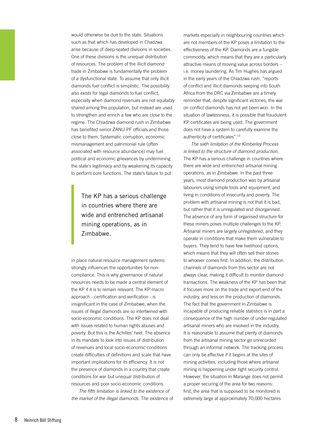would otherwise be due to the state. Situations such as that which has developed in Chadzwa arise because of deep-seated divisions in societies. One of these divisions is the unequal distribution of resources. The problem of the illicit diamond trade in Zimbabwe is fundamentally the problem of a dysfunctional state. To assume that only illicit diamonds fuel conflict is simplistic. The possibility also exists for legal diamonds to fuel conflict, especially when diamond revenues are not equitably shared among the population, but instead are used to strengthen and enrich a few who are close to the regime. The Chiadzwa diamond rush in Zimbabwe has benefited senior ZANU-PF officials and those close to them. Systematic corruption, economic mismanagement and patrimonial rule (often associated with resource abundance) may fuel political and economic grievances by undermining the state's legitimacy and by weakening its capacity to perform core functions. The state's failure to put

The KP has a serious challenge in countries where there are wide and entrenched artisanal mining operations, as in Zimbabwe.

in place natural resource management systems strongly influences the opportunities for noncompliance. This is why governance of natural resources needs to be made a central element of the KP if it is to remain relevant. The KP macro approach - certification and verification - is insignificant in the case of Zimbabwe, when the issues of illegal diamonds are so intertwined with socio-economic conditions. The KP does not deal with issues related to human rights abuses and poverty. But this is the Achilles' heel. The absence in its mandate to look into issues of distribution of revenues and local socio-economic conditions create difficulties of definitions and scale that have important implications for its efficiency. It is not the presence of diamonds in a country that create conditions for war but unequal distribution of resources and poor socio-economic conditions.

*The fifth limitation is linked to the existence of the market of the illegal diamonds.* The existence of markets especially in neighbouring countries which are not members of the KP poses a limitation to the effectiveness of the KP. Diamonds are a fungible commodity, which means that they are a particularly attractive means of moving value across borders – i.e. money laundering. As Tim Hughes has argued in the early years of the Chiadzwa rush, "reports of conflict and illicit diamonds seeping into South Africa from the DRC via Zimbabwe are a timely reminder that, despite significant victories, the war on conflict diamonds has not yet been won. In the situation of lawlessness, it is possible that fraudulent KP certificates are being used. The government does not have a system to carefully examine the authenticity of certificates".10

*The sixth limitation of the Kimberley Process is linked to the structure of diamond production.* The KP has a serious challenge in countries where there are wide and entrenched artisanal mining operations, as in Zimbabwe. In the past three years, most diamond production was by artisanal labourers using simple tools and equipment, and living in conditions of insecurity and poverty. The problem with artisanal mining is not that it is bad, but rather that it is unregulated and disorganised. The absence of any form of organised structure for these miners poses multiple challenges to the KP. Artisanal miners are largely unregistered, and they operate in conditions that make them vulnerable to buyers. They tend to have few livelihood options, which means that they will often sell their stones to whoever comes first. In addition, the distribution channels of diamonds from this sector are not always clear, making it difficult to monitor diamond transactions. The weakness of the KP has been that it focuses more on the trade and export end of the industry, and less on the production of diamonds. The fact that the government in Zimbabwe is incapable of producing reliable statistics is in part a consequence of the high number of under-regulated artisanal miners who are involved in the industry. It is reasonable to assume that plenty of diamonds from the artisanal mining sector go unrecorded through an informal network. The tracking process can only be effective if it begins at the sites of mining activities, including those where artisanal mining is happening under tight security control. However, the situation in Marange does not permit a proper securing of the area for two reasons: first, the area that is supposed to be monitored is extremely large at approximately 70,000 hectares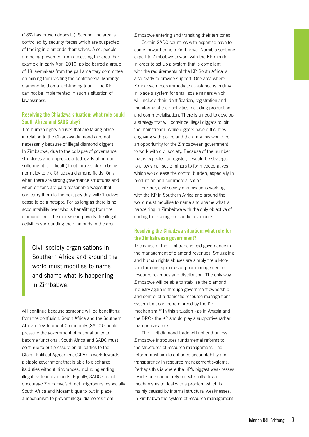(18% has proven deposits). Second, the area is controlled by security forces which are suspected of trading in diamonds themselves. Also, people are being prevented from accessing the area. For example in early April 2010, police barred a group of 18 lawmakers from the parliamentary committee on mining from visiting the controversial Marange diamond field on a fact-finding tour.<sup>11</sup> The KP can not be implemented in such a situation of lawlessness.

#### **Resolving the Chiadzwa situation: what role could South Africa and SADC play?**

The human rights abuses that are taking place in relation to the Chiadzwa diamonds are not necessarily because of illegal diamond diggers. In Zimbabwe, due to the collapse of governance structures and unprecedented levels of human suffering, it is difficult (if not impossible) to bring normalcy to the Chiadzwa diamond fields. Only when there are strong governance structures and when citizens are paid reasonable wages that can carry them to the next pay day, will Chiadzwa cease to be a hotspot. For as long as there is no accountability over who is benefitting from the diamonds and the increase in poverty the illegal activities surrounding the diamonds in the area

> Civil society organisations in Southern Africa and around the world must mobilise to name and shame what is happening in Zimbabwe.

will continue because someone will be benefitting from the confusion. South Africa and the Southern African Development Community (SADC) should pressure the government of national unity to become functional. South Africa and SADC must continue to put pressure on all parties to the Global Political Agreement (GPA) to work towards a stable government that is able to discharge its duties without hindrances, including ending illegal trade in diamonds. Equally, SADC should encourage Zimbabwe's direct neighbours, especially South Africa and Mozambique to put in place a mechanism to prevent illegal diamonds from

Zimbabwe entering and transiting their territories.

Certain SADC countries with expertise have to come forward to help Zimbabwe. Namibia sent one expert to Zimbabwe to work with the KP monitor in order to set up a system that is compliant with the requirements of the KP. South Africa is also ready to provide support. One area where Zimbabwe needs immediate assistance is putting in place a system for small scale miners which will include their identification, registration and monitoring of their activities including production and commercialisation. There is a need to develop a strategy that will convince illegal diggers to join the mainstream. While diggers have difficulties engaging with police and the army this would be an opportunity for the Zimbabwean government to work with civil society. Because of the number that is expected to register, it would be strategic to allow small scale miners to form cooperatives which would ease the control burden, especially in production and commercialisation.

Further, civil society organisations working with the KP in Southern Africa and around the world must mobilise to name and shame what is happening in Zimbabwe with the only objective of ending the scourge of conflict diamonds.

#### **Resolving the Chiadzwa situation: what role for the Zimbabwean government?**

The cause of the illicit trade is bad governance in the management of diamond revenues. Smuggling and human rights abuses are simply the all-toofamiliar consequences of poor management of resource revenues and distribution. The only way Zimbabwe will be able to stabilise the diamond industry again is through government ownership and control of a domestic resource management system that can be reinforced by the KP mechanism.12 In this situation - as in Angola and the DRC - the KP should play a supportive rather than primary role.

The illicit diamond trade will not end unless Zimbabwe introduces fundamental reforms to the structures of resource management. The reform must aim to enhance accountability and transparency in resource management systems. Perhaps this is where the KP's biggest weaknesses reside: one cannot rely on externally driven mechanisms to deal with a problem which is mainly caused by internal structural weaknesses. In Zimbabwe the system of resource management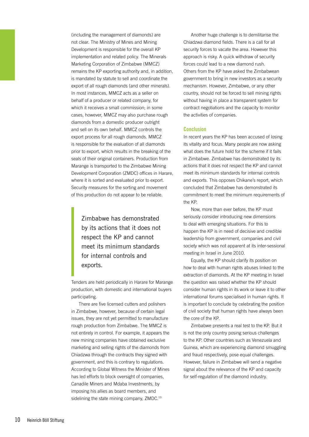(including the management of diamonds) are not clear. The Ministry of Mines and Mining Development is responsible for the overall KP implementation and related policy. The Minerals Marketing Corporation of Zimbabwe (MMCZ) remains the KP exporting authority and, in addition, is mandated by statute to sell and coordinate the export of all rough diamonds (and other minerals). In most instances, MMCZ acts as a seller on behalf of a producer or related company, for which it receives a small commission; in some cases, however, MMCZ may also purchase rough diamonds from a domestic producer outright and sell on its own behalf. MMCZ controls the export process for all rough diamonds. MMCZ is responsible for the evaluation of all diamonds prior to export, which results in the breaking of the seals of their original containers. Production from Marange is transported to the Zimbabwe Mining Development Corporation (ZMDC) offices in Harare, where it is sorted and evaluated prior to export. Security measures for the sorting and movement of this production do not appear to be reliable.

Zimbabwe has demonstrated by its actions that it does not respect the KP and cannot meet its minimum standards for internal controls and exports.

Tenders are held periodically in Harare for Marange production, with domestic and international buyers participating.

There are five licensed cutters and polishers in Zimbabwe, however, because of certain legal issues, they are not yet permitted to manufacture rough production from Zimbabwe. The MMCZ is not entirely in control. For example, it appears the new mining companies have obtained exclusive marketing and selling rights of the diamonds from Chiadzwa through the contracts they signed with government, and this is contrary to regulations. According to Global Witness the Minister of Mines has led efforts to block oversight of companies, Canadile Miners and Mdaba Investments, by imposing his allies as board members, and sidelining the state mining company, ZMDC.<sup>13</sup>

Another huge challenge is to demilitarise the Chiadzwa diamond fields. There is a call for all security forces to vacate the area. However this approach is risky. A quick withdraw of security forces could lead to a new diamond rush. Others from the KP have asked the Zimbabwean government to bring in new investors as a security mechanism. However, Zimbabwe, or any other country, should not be forced to sell mining rights without having in place a transparent system for contract negotiations and the capacity to monitor the activities of companies.

#### **Conclusion**

In recent years the KP has been accused of losing its vitality and focus. Many people are now asking what does the future hold for the scheme if it fails in Zimbabwe. Zimbabwe has demonstrated by its actions that it does not respect the KP and cannot meet its minimum standards for internal controls and exports. This opposes Chikane's report, which concluded that Zimbabwe has demonstrated its commitment to meet the minimum requirements of the KP.

Now, more than ever before, the KP must seriously consider introducing new dimensions to deal with emerging situations. For this to happen the KP is in need of decisive and credible leadership from government, companies and civil society which was not apparent at its inter-sessional meeting in Israel in June 2010.

Equally, the KP should clarify its position on how to deal with human rights abuses linked to the extraction of diamonds. At the KP meeting in Israel the question was raised whether the KP should consider human rights in its work or leave it to other international forums specialised in human rights. It is important to conclude by celebrating the position of civil society that human rights have always been the core of the KP.

Zimbabwe presents a real test to the KP. But it is not the only country posing serious challenges to the KP. Other countries such as Venezuela and Guinea, which are experiencing diamond smuggling and fraud respectively, pose equal challenges. However, failure in Zimbabwe will send a negative signal about the relevance of the KP and capacity for self-regulation of the diamond industry.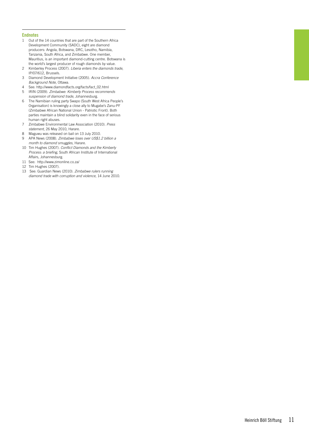#### **Endnotes**

- 1 Out of the 14 countries that are part of the Southern Africa Development Community (SADC), eight are diamond producers: Angola, Botswana, DRC, Lesotho, Namibia, Tanzania, South Africa, and Zimbabwe. One member, Mauritius, is an important diamond-cutting centre. Botswana is the world's largest producer of rough diamonds by value.
- 2 Kimberley Process (2007). *Liberia enters the diamonds trade*, IP/07/612, Brussels.
- 3 Diamond Development Initiative (2005). *Accra Conference Background Note*, Ottawa.
- 4 See: http://www.diamondfacts.org/facts/fact\_02.html
- 5 IRIN (2009). *Zimbabwe: Kimberly Process recommends suspension of diamond trade*, Johannesburg.
- 6 The Namibian ruling party Swapo (South West Africa People's Organisation) is knowingly a close ally to Mugabe's Zanu-PF (Zimbabwe African National Union - Patriotic Front). Both parties maintain a blind solidarity even in the face of serious human right abuses.
- 7 Zimbabwe Environmental Law Association (2010). *Press statement*, 26 May 2010, Harare.
- 8 Maguwu was released on bail on 13 July 2010.<br>9 APA News (2008). Zimbabwe loses over US\$1.
- 9 APA News (2008). *Zimbabwe loses over US\$1.2 billion a month to diamond smuggles*, Harare.
- 10 Tim Hughes (2007). *Conflict Diamonds and the Kimberly Process: a briefing*, South African Institute of International Affairs, Johannesburg.
- 11 See: http://www.zimonline.co.za/
- 12 Tim Hughes (2007).
- 13 See: Guardian News (2010). *Zimbabwe rulers running diamond trade with corruption and violence*, 14 June 2010.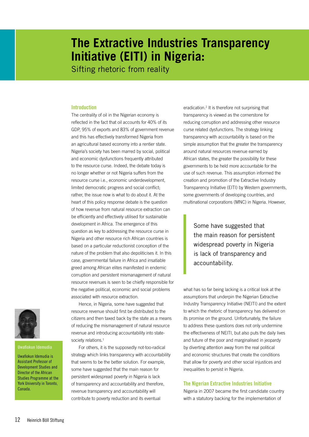## **The Extractive Industries Transparency Initiative (EITI) in Nigeria:**

Sifting rhetoric from reality

#### **Introduction**

The centrality of oil in the Nigerian economy is reflected in the fact that oil accounts for 40% of its GDP, 95% of exports and 83% of government revenue and this has effectively transformed Nigeria from an agricultural based economy into a rentier state. Nigeria's society has been marred by social, political and economic dysfunctions frequently attributed to the resource curse. Indeed, the debate today is no longer whether or not Nigeria suffers from the resource curse i.e., economic underdevelopment, limited democratic progress and social conflict; rather, the issue now is what to do about it. At the heart of this policy response debate is the question of how revenue from natural resource extraction can be efficiently and effectively utilised for sustainable development in Africa. The emergence of this question as key to addressing the resource curse in Nigeria and other resource rich African countries is based on a particular reductionist conception of the nature of the problem that also depoliticises it. In this case, governmental failure in Africa and insatiable greed among African elites manifested in endemic corruption and persistent mismanagement of natural resource revenues is seen to be chiefly responsible for the negative political, economic and social problems associated with resource extraction.

Hence, in Nigeria, some have suggested that resource revenue should first be distributed to the citizens and then taxed back by the state as a means of reducing the mismanagement of natural resource revenue and introducing accountability into statesociety relations.<sup>1</sup>

For others, it is the supposedly not-too-radical strategy which links transparency with accountability that seems to be the better solution. For example, some have suggested that the main reason for persistent widespread poverty in Nigeria is lack of transparency and accountability and therefore, revenue transparency and accountability will contribute to poverty reduction and its eventual

eradication.<sup>2</sup> It is therefore not surprising that transparency is viewed as the cornerstone for reducing corruption and addressing other resource curse related dysfunctions. The strategy linking transparency with accountability is based on the simple assumption that the greater the transparency around natural resources revenue earned by African states, the greater the possibility for these governments to be held more accountable for the use of such revenue. This assumption informed the creation and promotion of the Extractive Industry Transparency Initiative (EITI) by Western governments, some governments of developing countries, and multinational corporations (MNC) in Nigeria. However,

Some have suggested that the main reason for persistent widespread poverty in Nigeria is lack of transparency and accountability.

what has so far being lacking is a critical look at the assumptions that underpin the Nigerian Extractive Industry Transparency Initiative (NEITI) and the extent to which the rhetoric of transparency has delivered on its promise on the ground. Unfortunately, the failure to address these questions does not only undermine the effectiveness of NEITI, but also puts the daily lives and future of the poor and marginalised in jeopardy by diverting attention away from the real political and economic structures that create the conditions that allow for poverty and other social injustices and inequalities to persist in Nigeria.

#### **The Nigerian Extractive Industries Initiative**

Nigeria in 2007 became the first candidate country with a statutory backing for the implementation of



Uwafiokun Idemudia is Assistant Professor of Development Studies and Director of the African Studies Programme at the York University in Toronto, Canada.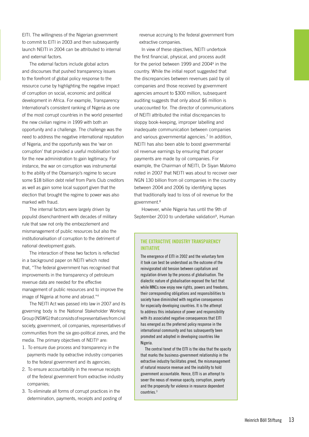EITI. The willingness of the Nigerian government to commit to EITI in 2003 and then subsequently launch NEITI in 2004 can be attributed to internal and external factors.

The external factors include global actors and discourses that pushed transparency issues to the forefront of global policy response to the resource curse by highlighting the negative impact of corruption on social, economic and political development in Africa. For example, Transparency International's consistent ranking of Nigeria as one of the most corrupt countries in the world presented the new civilian regime in 1999 with both an opportunity and a challenge. The challenge was the need to address the negative international reputation of Nigeria, and the opportunity was the 'war on corruption' that provided a useful mobilisation tool for the new administration to gain legitimacy. For instance, the war on corruption was instrumental to the ability of the Obansanjo's regime to secure some \$18 billion debt relief from Paris Club creditors as well as gain some local support given that the election that brought the regime to power was also marked with fraud.

The internal factors were largely driven by populist disenchantment with decades of military rule that saw not only the embezzlement and mismanagement of public resources but also the institutionalisation of corruption to the detriment of national development goals.

The interaction of these two factors is reflected in a background paper on NEITI which noted that, "The federal government has recognised that improvements in the transparency of petroleum revenue data are needed for the effective management of public resources and to improve the image of Nigeria at home and abroad."4

The NEITI Act was passed into law in 2007 and its governing body is the National Stakeholder Working Group (NSWG) that consists of representatives from civil society, government, oil companies, representatives of communities from the six geo-political zones, and the media. The primary objectives of NEITI<sup>5</sup> are:

- 1. To ensure due process and transparency in the payments made by extractive industry companies to the federal government and its agencies;
- 2. To ensure accountability in the revenue receipts of the federal government from extractive industry companies;
- 3. To eliminate all forms of corrupt practices in the determination, payments, receipts and posting of

revenue accruing to the federal government from extractive companies.

In view of these objectives, NEITI undertook the first financial, physical, and process audit for the period between 1999 and 2004<sup>6</sup> in the country. While the initial report suggested that the discrepancies between revenues paid by oil companies and those received by government agencies amount to \$300 million, subsequent auditing suggests that only about \$6 million is unaccounted for. The director of communications of NEITI attributed the initial discrepancies to sloppy book-keeping, improper labelling and inadequate communication between companies and various governmental agencies.<sup>7</sup> In addition, NEITI has also been able to boost governmental oil revenue earnings by ensuring that proper payments are made by oil companies. For example, the Chairman of NEITI, Dr Siyan Malomo noted in 2007 that NEITI was about to recover over NGN 130 billion from oil companies in the country between 2004 and 2006 by identifying lapses that traditionally lead to loss of oil revenue for the government.8

However, while Nigeria has until the 9th of September 2010 to undertake validation<sup>9</sup>, Human

#### **The Extractive Industry Transparency Initiative**

The emergence of EITI in 2002 and the voluntary form it took can best be understood as the outcome of the reinvigorated old tension between capitalism and regulation driven by the process of globalisation. The dialectic nature of globalisation exposed the fact that while MNCs now enjoy new rights, powers and freedoms, their corresponding obligations and responsibilities to society have diminished with negative consequences for especially developing countries. It is the attempt to address this imbalance of power and responsibility with its associated negative consequences that EITI has emerged as the preferred policy response in the international community and has subsequently been promoted and adopted in developing countries like Nigeria.

The central tenet of the EITI is the idea that the opacity that marks the business-government relationship in the extractive industry facilitates greed, the mismanagement of natural resource revenue and the inability to hold government accountable. Hence, EITI is an attempt to sever the nexus of revenue opacity, corruption, poverty and the propensity for violence in resource dependent countries.<sup>3</sup>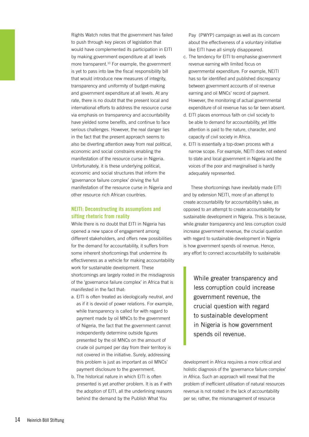Rights Watch notes that the government has failed to push through key pieces of legislation that would have complemented its participation in EITI by making government expenditure at all levels more transparent.10 For example, the government is yet to pass into law the fiscal responsibility bill that would introduce new measures of integrity, transparency and uniformity of budget-making and government expenditure at all levels. At any rate, there is no doubt that the present local and international efforts to address the resource curse via emphasis on transparency and accountability have yielded some benefits, and continue to face serious challenges. However, the real danger lies in the fact that the present approach seems to also be diverting attention away from real political, economic and social constrains enabling the manifestation of the resource curse in Nigeria. Unfortunately, it is these underlying political, economic and social structures that inform the 'governance failure complex' driving the full manifestation of the resource curse in Nigeria and other resource rich African countries.

#### **NEITI: Deconstructing its assumptions and sifting rhetoric from reality**

While there is no doubt that EITI in Nigeria has opened a new space of engagement among different stakeholders, and offers new possibilities for the demand for accountability, it suffers from some inherent shortcomings that undermine its effectiveness as a vehicle for making accountability work for sustainable development. These shortcomings are largely rooted in the misdiagnosis of the 'governance failure complex' in Africa that is manifested in the fact that:

- a. EITI is often treated as ideologically neutral, and as if it is devoid of power relations. For example, while transparency is called for with regard to payment made by oil MNCs to the government of Nigeria, the fact that the government cannot independently determine outside figures presented by the oil MNCs on the amount of crude oil pumped per day from their territory is not covered in the initiative. Surely, addressing this problem is just as important as oil MNCs' payment disclosure to the government.
- b. The historical nature in which EITI is often presented is yet another problem. It is as if with the adoption of EITI, all the underlining reasons behind the demand by the Publish What You

Pay (PWYP) campaign as well as its concern about the effectiveness of a voluntary initiative like EITI have all simply disappeared.

- c. The tendency for EITI to emphasise government revenue earning with limited focus on governmental expenditure. For example, NEITI has so far identified and published discrepancy between government accounts of oil revenue earning and oil MNCs' record of payment. However, the monitoring of actual governmental expenditure of oil revenue has so far been absent.
- d. EITI places enormous faith on civil society to be able to demand for accountability, yet little attention is paid to the nature, character, and capacity of civil society in Africa.
- e. EITI is essentially a top-down process with a narrow scope. For example, NEITI does not extend to state and local government in Nigeria and the voices of the poor and marginalised is hardly adequately represented.

These shortcomings have inevitably made EITI and by extension NEITI, more of an attempt to create accountability for accountability's sake, as opposed to an attempt to create accountability for sustainable development in Nigeria. This is because, while greater transparency and less corruption could increase government revenue, the crucial question with regard to sustainable development in Nigeria is how government spends oil revenue. Hence, any effort to connect accountability to sustainable

While greater transparency and less corruption could increase government revenue, the crucial question with regard to sustainable development in Nigeria is how government spends oil revenue.

development in Africa requires a more critical and holistic diagnosis of the 'governance failure complex' in Africa. Such an approach will reveal that the problem of inefficient utilisation of natural resources revenue is not rooted in the lack of accountability per se; rather, the mismanagement of resource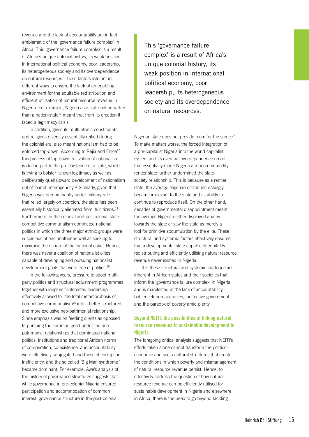revenue and the lack of accountability are in fact emblematic of the 'governance failure complex' in Africa. This 'governance failure complex' is a result of Africa's unique colonial history, its weak position in international political economy, poor leadership, its heterogeneous society and its overdependence on natural resources. These factors interact in different ways to ensure the lack of an enabling environment for the equitable redistribution and efficient utilisation of natural resource revenue in Nigeria. For example, Nigeria as a state-nation rather than a nation-state<sup>11</sup> meant that from its creation it faced a legitimacy crisis.

In addition, given its multi-ethnic constituents and religious diversity essentially reified during the colonial era, also meant nationalism had to be enforced top-down. According to Rejia and Enloe<sup>12</sup> this process of top-down cultivation of nationalism is due in part to the pre-existence of a state, which is trying to bolster its own legitimacy as well as deliberately quell upward development of nationalism out of fear of heterogeneity.<sup>13</sup> Similarly, given that Nigeria was predominantly under military rule that relied largely on coercion, the state has been essentially historically alienated from its citizens.<sup>14</sup> Furthermore, in the colonial and postcolonial state competitive communalism dominated national politics in which the three major ethnic groups were suspicious of one another as well as seeking to maximise their share of the 'national cake'. Hence, there was never a coalition of nationalist elites capable of developing and pursuing nationalist development goals that were free of politics.<sup>15</sup>

In the following years, pressure to adopt multiparty politics and structural adjustment programmes together with inept self-interested leadership effectively allowed for the total metamorphosis of competitive communalism16 into a better structured and more exclusive neo-patrimonial relationship. Since emphasis was on feeding clients as opposed to pursuing the common good under the neopatrimonial relationships that dominated national politics, institutions and traditional African norms of co-operation, co-existence, and accountability were effectively subjugated and those of corruption, inefficiency, and the so called *'*Big Man syndrome*'* became dominant. For example, Awe's analysis of the history of governance structures suggests that while governance in pre-colonial Nigeria ensured participation and accommodation of common interest, governance structure in the post-colonial

This 'governance failure complex' is a result of Africa's unique colonial history, its weak position in international political economy, poor leadership, its heterogeneous society and its overdependence on natural resources.

Nigerian state does not provide room for the same.<sup>17</sup> To make matters worse, the forced integration of a pre-capitalist Nigeria into the world capitalist system and its eventual overdependence on oil that essentially made Nigeria a mono-commodity rentier state further undermined the statesociety relationship. This is because as a rentier state, the average Nigerian citizen increasingly became irrelevant to the state and its ability to continue to reproduce itself. On the other hand, decades of governmental disappointment meant the average Nigerian either displayed apathy towards the state or saw the state as merely a tool for primitive accumulation by the elite. These structural and systemic factors effectively ensured that a developmental state capable of equitably redistributing and efficiently utilising natural resource revenue never existed in Nigeria.

It is these structural and systemic inadequacies inherent in African states and their societies that inform the 'governance failure complex' in Nigeria and is manifested in the lack of accountability, bottleneck bureaucracies, ineffective government and the paradox of poverty amid plenty.

#### **Beyond NEITI: the possibilities of linking natural resource revenues to sustainable development in Nigeria**

The foregoing critical analysis suggests that NEITI's efforts taken alone cannot transform the politicoeconomic and socio-cultural structures that create the conditions in which poverty and mismanagement of natural resource revenue persist. Hence, to effectively address the question of how natural resource revenue can be efficiently utilised for sustainable development in Nigeria and elsewhere in Africa, there is the need to go beyond tackling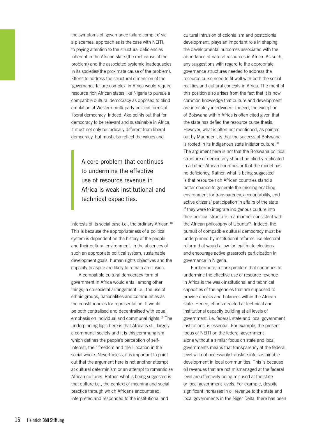the symptoms of 'governance failure complex' via a piecemeal approach as is the case with NEITI, to paying attention to the structural deficiencies inherent in the African state (the root cause of the problem) and the associated systemic inadequacies in its societies(the proximate cause of the problem). Efforts to address the structural dimension of the 'governance failure complex' in Africa would require resource rich African states like Nigeria to pursue a compatible cultural democracy as opposed to blind emulation of Western multi-party political forms of liberal democracy. Indeed, Ake points out that for democracy to be relevant and sustainable in Africa, it must not only be radically different from liberal democracy, but must also reflect the values and

A core problem that continues to undermine the effective use of resource revenue in Africa is weak institutional and technical capacities.

interests of its social base i.e., the ordinary African.<sup>18</sup> This is because the appropriateness of a political system is dependent on the history of the people and their cultural environment. In the absences of such an appropriate political system, sustainable development goals, human rights objectives and the capacity to aspire are likely to remain an illusion.

A compatible cultural democracy form of government in Africa would entail among other things, a co-societal arrangement i.e., the use of ethnic groups, nationalities and communities as the constituencies for representation. It would be both centralised and decentralised with equal emphasis on individual and communal rights.19 The underpinning logic here is that Africa is still largely a communal society and it is this communalism which defines the people's perception of selfinterest, their freedom and their location in the social whole. Nevertheless, it is important to point out that the argument here is not another attempt at cultural determinism or an attempt to romanticise African cultures. Rather, what is being suggested is that culture i.e., the context of meaning and social practice through which Africans encountered, interpreted and responded to the institutional and

cultural intrusion of colonialism and postcolonial development, plays an important role in shaping the developmental outcomes associated with the abundance of natural resources in Africa. As such, any suggestions with regard to the appropriate governance structures needed to address the resource curse need to fit well with both the social realities and cultural contexts in Africa. The merit of this position also arises from the fact that it is now common knowledge that culture and development are intricately intertwined. Indeed, the exception of Botswana within Africa is often cited given that the state has defied the resource curse thesis. However, what is often not mentioned, as pointed out by Maundeni, is that the success of Botswana is rooted in its indigenous state initiator culture.<sup>20</sup> The argument here is not that the Botswana political structure of democracy should be blindly replicated in all other African countries or that the model has no deficiency. Rather, what is being suggested is that resource rich African countries stand a better chance to generate the missing enabling environment for transparency, accountability, and active citizens' participation in affairs of the state if they were to integrate indigenous culture into their political structure in a manner consistent with the African philosophy of Ubuntu<sup>21</sup>. Indeed, the pursuit of compatible cultural democracy must be underpinned by institutional reforms like electoral reform that would allow for legitimate elections and encourage active grassroots participation in governance in Nigeria.

Furthermore, a core problem that continues to undermine the effective use of resource revenue in Africa is the weak institutional and technical capacities of the agencies that are supposed to provide checks and balances within the African state. Hence, efforts directed at technical and institutional capacity building at all levels of government, i.e. federal, state and local government institutions, is essential. For example, the present focus of NEITI on the federal government alone without a similar focus on state and local governments means that transparency at the federal level will not necessarily translate into sustainable development in local communities. This is because oil revenues that are not mismanaged at the federal level are effectively being misused at the state or local government levels. For example, despite significant increases in oil revenue to the state and local governments in the Niger Delta, there has been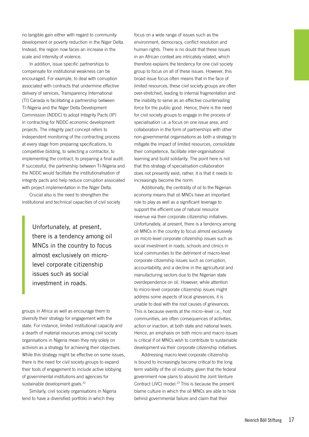no tangible gain either with regard to community development or poverty reduction in the Niger Delta. Instead, the region now faces an increase in the scale and intensity of violence.

In addition, issue specific partnerships to compensate for institutional weakness can be encouraged. For example, to deal with corruption associated with contracts that undermine effective delivery of services, Transparency International (TI) Canada is facilitating a partnership between TI-Nigeria and the Niger Delta Development Commission (NDDC) to adopt Integrity Pacts (IP) in contracting for NDDC economic development projects. The integrity pact concept refers to independent monitoring of the contracting process at every stage from preparing specifications, to competitive bidding, to selecting a contractor, to implementing the contract, to preparing a final audit. If successful, the partnership between TI-Nigeria and the NDDC would facilitate the institutionalisation of integrity pacts and help reduce corruption associated with project implementation in the Niger Delta.

Crucial also is the need to strengthen the institutional and technical capacities of civil society

> Unfortunately, at present, there is a tendency among oil MNCs in the country to focus almost exclusively on microlevel corporate citizenship issues such as social investment in roads.

groups in Africa as well as encourage them to diversify their strategy for engagement with the state. For instance, limited institutional capacity and a dearth of material resources among civil society organisations in Nigeria mean they rely solely on activism as a strategy for achieving their objectives. While this strategy might be effective on some issues, there is the need for civil society groups to expand their tools of engagement to include active lobbying of governmental institutions and agencies for sustainable development goals.<sup>22</sup>

Similarly, civil society organisations in Nigeria tend to have a diversified portfolio in which they

focus on a wide range of issues such as the environment, democracy, conflict resolution and human rights. There is no doubt that these issues in an African context are intricately related, which therefore explains the tendency for one civil society group to focus on all of these issues. However, this broad issue focus often means that in the face of limited resources, these civil society groups are often over-stretched, leading to internal fragmentation and the inability to serve as an effective countervailing force for the public good. Hence, there is the need for civil society groups to engage in the process of specialisation i.e. a focus on one issue area, and collaboration in the form of partnerships with other non-governmental organisations as both a strategy to mitigate the impact of limited resources, consolidate their competence, facilitate inter-organisational learning and build solidarity. The point here is not that this strategy of specialisation-collaboration does not presently exist; rather, it is that it needs to increasingly become the norm.

Additionally, the centrality of oil to the Nigerian economy means that oil MNCs have an important role to play as well as a significant leverage to support the efficient use of natural resource revenue via their corporate citizenship initiatives. Unfortunately, at present, there is a tendency among oil MNCs in the country to focus almost exclusively on micro-level corporate citizenship issues such as social investment in roads, schools and clinics in local communities to the detriment of macro-level corporate citizenship issues such as corruption, accountability, and a decline in the agricultural and manufacturing sectors due to the Nigerian state overdependence on oil. However, while attention to micro-level corporate citizenship issues might address some aspects of local grievances, it is unable to deal with the root causes of grievances. This is because events at the micro–level i.e., host communities, are often consequences of activities, action or inaction, at both state and national levels. Hence, an emphasis on both micro and macro issues is critical if oil MNCs wish to contribute to sustainable development via their corporate citizenship initiatives.

Addressing macro-level corporate citizenship is bound to increasingly become critical to the long term viability of the oil industry, given that the federal government now plans to abound the Joint Venture Contract (JVC) model.<sup>23</sup> This is because the present blame culture in which the oil MNCs are able to hide behind governmental failure and claim that their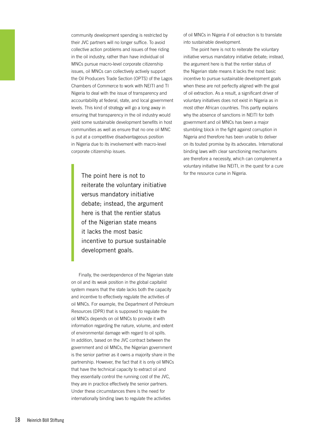community development spending is restricted by their JVC partners will no longer suffice. To avoid collective action problems and issues of free riding in the oil industry, rather than have individual oil MNCs pursue macro-level corporate citizenship issues, oil MNCs can collectively actively support the Oil Producers Trade Section (OPTS) of the Lagos Chambers of Commerce to work with NEITI and TI Nigeria to deal with the issue of transparency and accountability at federal, state, and local government levels. This kind of strategy will go a long away in ensuring that transparency in the oil industry would yield some sustainable development benefits in host communities as well as ensure that no one oil MNC is put at a competitive disadvantageous position in Nigeria due to its involvement with macro-level corporate citizenship issues.

The point here is not to reiterate the voluntary initiative versus mandatory initiative debate; instead, the argument here is that the rentier status of the Nigerian state means it lacks the most basic incentive to pursue sustainable development goals.

Finally, the overdependence of the Nigerian state on oil and its weak position in the global capitalist system means that the state lacks both the capacity and incentive to effectively regulate the activities of oil MNCs. For example, the Department of Petroleum Resources (DPR) that is supposed to regulate the oil MNCs depends on oil MNCs to provide it with information regarding the nature, volume, and extent of environmental damage with regard to oil spills. In addition, based on the JVC contract between the government and oil MNCs, the Nigerian government is the senior partner as it owns a majority share in the partnership. However, the fact that it is only oil MNCs that have the technical capacity to extract oil and they essentially control the running cost of the JVC, they are in practice effectively the senior partners. Under these circumstances there is the need for internationally binding laws to regulate the activities

of oil MNCs in Nigeria if oil extraction is to translate into sustainable development.

The point here is not to reiterate the voluntary initiative versus mandatory initiative debate; instead, the argument here is that the rentier status of the Nigerian state means it lacks the most basic incentive to pursue sustainable development goals when these are not perfectly aligned with the goal of oil extraction. As a result, a significant driver of voluntary initiatives does not exist in Nigeria as in most other African countries. This partly explains why the absence of sanctions in NEITI for both government and oil MNCs has been a major stumbling block in the fight against corruption in Nigeria and therefore has been unable to deliver on its touted promise by its advocates. International binding laws with clear sanctioning mechanisms are therefore a necessity, which can complement a voluntary initiative like NEITI, in the quest for a cure for the resource curse in Nigeria.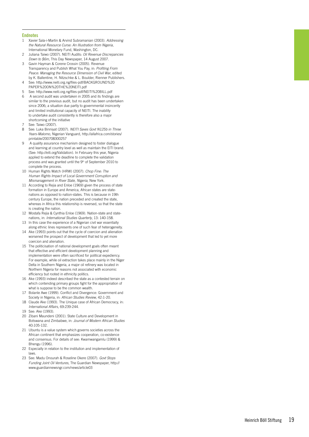#### **Endnotes**

- 1 Xavier Sala-i-Martin & Arvind Subramanian (2003). *Addressing the Natural Resource Curse: An Illustration from Nigeria*, International Monetary Fund, Washington, DC.
- 2 Juliana Taiwo (2007). NEITI Audits: *Oil Revenue Discrepancies Down to \$6m*, This Day Newspaper, 14 August 2007.
- 3 Gavin Hayman & Corene Crossin (2005). Revenue Transparency and Publish What You Pay, in: *Profiting From Peace: Managing the Resource Dimension of Civil War*, edited by K. Ballentine, H. Nitzschke & L. Boulder, Rienner Publishers.
- 4 See: http://www.neiti.org.ng/files-pdf/BACKGROUND%20 PAPER%20ON%20THE%20NEITI.pd f
- 5 See: http://www.neiti.org.ng/files-pdf/NEITI%20BILL.pd f
- 6 A second audit was undertaken in 2005 and its findings are similar to the previous audit, but no audit has been undertaken since 2006; a situation due partly to governmental insincerity and limited institutional capacity of NEITI. The inability to undertake audit consistently is therefore also a major shortcoming of the initiative
- 
- 7 See: Taiwo (2007).<br>8 See: Luka Binniyat (2007). *NEITI Saves Govt N125b in Three Years-Malomo*, Nigerian Vanguard, http://allafrica.com/stories/ printable/20070830025 7
- 9 A quality assurance mechanism designed to foster dialogue and learning at country level as well as maintain the EITI brand. (See: http://eiti.org/Validatio n). In February this year, Nigeria applied to extend the deadline to complete the validation process and was granted until the 9th of September 2010 to complete the process.
- 10 Human Rights Watch (HRW) (2007). *Chop Fine: The Human Rights Impact of Local Government Corruption and Mismanagement in River State, Nigeria*, New York.
- 11 According to Rejia and Enloe (1969) given the process of state formation in Europe and America, African states are statenations as opposed to nation-states. This is because in 19th century Europe, the nation preceded and created the state, whereas in Africa this relationship is reversed, so that the state is creating the nation.
- 12 Mostafa Rejia & Cynthia Enloe (1969). Nation-state and statenations, in: *International Studies Quarterly*, 13: 140-158.
- 13 In this case the experience of a Nigerian civil war essentially along ethnic lines represents one of such fear of heterogeneity.
- 14 Ake (1993) points out that the cycle of coercion and alienation worsened the prospect of development that led to yet more coercion and alienation.
- 15 The politicisation of national development goals often meant that effective and efficient development planning and implementation were often sacrificed for political expediency. For example, while oil extraction takes place mainly in the Niger Delta in Southern Nigeria, a major oil refinery was located in Northern Nigeria for reasons not associated with economic efficiency but rooted in ethnicity politics.
- 16 Ake (1993) indeed described the state as a contested terrain on which contending primary groups fight for the appropriation of what is suppose to be the common wealth.
- 17 Bolanle Awe (1999). Conflict and Divergence: Government and Society in Nigeria, in: *African Studies Review*, 42:1-20.
- 18 Claude Ake (1993). The Unique case of African Democracy, in: *International Affairs*, 69:239-244.
- 19 See: Ake (1993).
- 20 Zibani Maundeni (2001). State Culture and Development in Botswana and Zimbabwe, in: *Journal of Modern African Studies* 40:105-132.
- 21 Ubuntu is a value system which governs societies across the African continent that emphasizes cooperation, co-existence and consensus. For details of see: Kwamwangamlu (1999) & Bhengu (1996).
- 22 Especially in relation to the institution and implementation of laws.
- 23 See: Madu Onourah & Roseline Okere (2007). *Govt Stops Funding Joint Oil Ventures*, The Guardian Newspaper, http:// www.guardiannewsngr.com/news/article0 3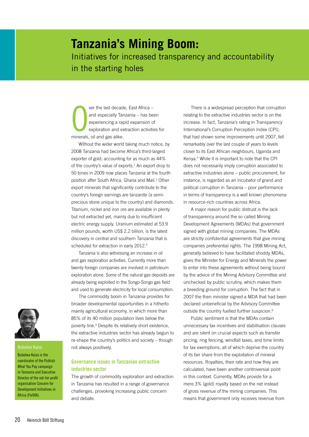## **Tanzania's Mining Boom:**  Initiatives for increased transparency and accountability in the starting holes

O<br>minerals ver the last decade, East Africa – and especially Tanzania – has been experiencing a rapid expansion of exploration and extraction activities for minerals, oil and gas alike.

Without the wider world taking much notice, by 2008 Tanzania had become Africa's third-largest exporter of gold; accounting for as much as 44% of the country's value of exports.<sup>1</sup> An export drop to 50 tones in 2009 now places Tanzania at the fourth position after South Africa, Ghana and Mali.2 Other export minerals that significantly contribute to the country's foreign earnings are tanzanite (a semiprecious stone unique to the country) and diamonds. Titanium, nickel and iron ore are available in plenty but not extracted yet, mainly due to insufficient electric energy supply. Uranium estimated at 53.9 million pounds, worth US\$ 2.2 billion, is the latest discovery in central and southern Tanzania that is scheduled for extraction in early 2012.<sup>3</sup>

Tanzania is also witnessing an increase in oil and gas exploration activities. Currently more than twenty foreign companies are involved in petroleum exploration alone. Some of the natural gas deposits are already being exploited in the Songo-Songo gas field and used to generate electricity for local consumption.

The commodity boom in Tanzania provides for broader developmental opportunities in a hitherto mainly agricultural economy, in which more than 85% of its 40 million population lives below the poverty line.4 Despite its relatively short existence, the extractive industries sector has already begun to re-shape the country's politics and society – though not always positively.

#### **Governance issues in Tanzanian extractive industries sector**

The growth of commodity exploration and extraction in Tanzania has resulted in a range of governance challenges, provoking increasing public concern and debate.

There is a widespread perception that corruption relating to the extractive industries sector is on the increase. In fact, Tanzania's rating in Transparency International's Corruption Perception Index (CPI), that had shown some improvements until 2007, fell remarkably over the last couple of years to levels closer to its East African neighbours, Uganda and Kenya.5 While it is important to note that the CPI does not necessarily imply corruption associated to extractive industries alone – public procurement, for instance, is regarded as an incubator of grand and political corruption in Tanzania – poor performance in terms of transparency is a well known phenomena in resource-rich countries across Africa.

A major reason for public distrust is the lack of transparency around the so called Mining Development Agreements (MDAs) that government signed with global mining companies. The MDAs are strictly confidential agreements that give mining companies preferential rights. The 1998 Mining Act, generally believed to have facilitated shoddy MDAs, gives the Minister for Energy and Minerals the power to enter into these agreements without being bound by the advice of the Mining Advisory Committee and unchecked by public scrutiny, which makes them a breeding ground for corruption. The fact that in 2007 the then minister signed a MDA that had been declared unbeneficial by the Advisory Committee outside the country fuelled further suspicion.<sup>6</sup>

Public sentiment is that the MDAs contain unnecessary tax incentives and stabilisation clauses and are silent on crucial aspects such as transfer pricing, ring fencing, windfall taxes, and time limits for tax exemptions, all of which deprive the country of its fair share from the exploitation of mineral resources. Royalties, their rate and how they are calculated, have been another controversial point in this context. Currently, MDAs provide for a mere 3% (gold) royalty based on the net instead of gross revenue of the mining companies. This means that government only receives revenue from



#### **Bubelwa Kaiza**

Bubelwa Kaiza is the coordinator of the Publish What You Pay campaign in Tanzania and Executive Director of the not-for-profit organisation Concern for Development Initiatives in Africa (ForDIA).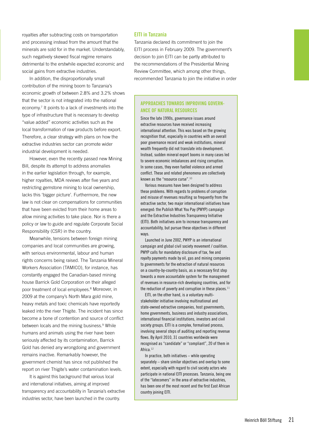royalties after subtracting costs on transportation and processing instead from the amount that the minerals are sold for in the market. Understandably, such negatively skewed fiscal regime remains detrimental to the erstwhile expected economic and social gains from extractive industries.

In addition, the disproportionally small contribution of the mining boom to Tanzania's economic growth of between 2.8% and 3.2% shows that the sector is not integrated into the national economy.<sup>7</sup> It points to a lack of investments into the type of infrastructure that is necessary to develop "value added" economic activities such as the local transformation of raw products before export. Therefore, a clear strategy with plans on how the extractive industries sector can promote wider industrial development is needed.

However, even the recently passed new Mining Bill, despite its attempt to address anomalies in the earlier legislation through, for example, higher royalties, MDA reviews after five years and restricting gemstone mining to local ownership, lacks this 'bigger picture'. Furthermore, the new law is not clear on compensations for communities that have been evicted from their home areas to allow mining activities to take place. Nor is there a policy or law to guide and regulate Corporate Social Responsibility (CSR) in the country.

Meanwhile, tensions between foreign mining companies and local communities are growing, with serious environmental, labour and human rights concerns being raised. The Tanzania Mineral Workers Association (TAMICO), for instance, has constantly engaged the Canadian-based mining house Barrick Gold Corporation on their alleged poor treatment of local employees.<sup>8</sup> Moreover, in 2009 at the company's North Mara gold mine, heavy metals and toxic chemicals have reportedly leaked into the river Thigite. The incident has since become a bone of contention and source of conflict between locals and the mining business.<sup>9</sup> While humans and animals using the river have been seriously affected by its contamination, Barrick Gold has denied any wrongdoing and government remains inactive. Remarkably however, the government chemist has since not published the report on river Thigite's water contamination levels.

It is against this background that various local and international initiatives, aiming at improved transparency and accountability in Tanzania's extractive industries sector, have been launched in the country.

#### **EITI in Tanzania**

Tanzania declared its commitment to join the EITI process in February 2009. The government's decision to join EITI can be partly attributed to the recommendations of the Presidential Mining Review Committee, which among other things, recommended Tanzania to join the initiative in order

#### **Approaches towards improving governance of natural resources**

Since the late 1990s, governance issues around extractive resources have received increasing international attention. This was based on the growing recognition that, especially in countries with an overall poor governance record and weak institutions, mineral wealth frequently did not translate into development. Instead, sudden mineral export booms in many cases led to severe economic imbalances and rising corruption. In some cases, they even fuelled violence and armed conflict. These and related phenomena are collectively known as the "resource curse".<sup>10</sup>

Various measures have been designed to address these problems. With regards to problems of corruption and misuse of revenues resulting so frequently from the extractive sector, two major international initiatives have emerged: the Publish What You Pay (PWYP) campaign and the Extractive Industries Transparency Initiative (EITI). Both initiatives aim to increase transparency and accountability, but pursue these objectives in different ways.

Launched in June 2002, PWYP is an international campaign and global civil society movement / coalition. PWYP calls for mandatory disclosure of tax, fee and royalty payments made by oil, gas and mining companies to governments for the extraction of natural resources on a country-by-country basis, as a necessary first step towards a more accountable system for the management of revenues in resource-rich developing countries, and for the reduction of poverty and corruption in these places. $11$ 

EITI, on the other hand, is a voluntary multistakeholder initiative involving multinational and state-owned extractive companies, host governments, home governments, business and industry associations, international financial institutions, investors and civil society groups. EITI is a complex, formalised process, involving several steps of auditing and reporting revenue flows. By April 2010, 31 countries worldwide were recognised as "candidate" or "compliant", 20 of them in Africa.<sup>12</sup>

In practice, both initiatives – while operating separately – share similar objectives and overlap to some extent, especially with regard to civil society actors who participate in national EITI processes. Tanzania, being one of the "latecomers" in the area of extractive industries, has been one of the most recent and the first East African country joining EITI.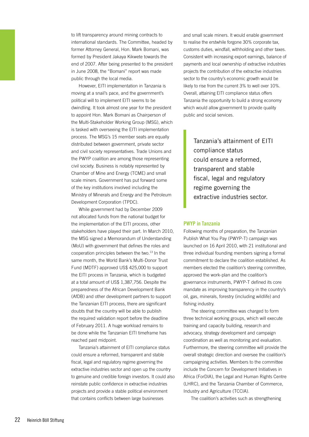to lift transparency around mining contracts to international standards. The Committee, headed by former Attorney General, Hon. Mark Bomani, was formed by President Jakaya Kikwete towards the end of 2007. After being presented to the president in June 2008, the "Bomani" report was made public through the local media.

However, EITI implementation in Tanzania is moving at a snail's pace, and the government's political will to implement EITI seems to be dwindling. It took almost one year for the president to appoint Hon. Mark Bomani as Chairperson of the Multi-Stakeholder Working Group (MSG), which is tasked with overseeing the EITI implementation process. The MSG's 15 member seats are equally distributed between government, private sector and civil society representatives. Trade Unions and the PWYP coalition are among those representing civil society. Business is notably represented by Chamber of Mine and Energy (TCME) and small scale miners. Government has put forward some of the key institutions involved including the Ministry of Minerals and Energy and the Petroleum Development Corporation (TPDC).

While government had by December 2009 not allocated funds from the national budget for the implementation of the EITI process, other stakeholders have played their part. In March 2010, the MSG signed a Memorandum of Understanding (MoU) with government that defines the roles and cooperation principles between the two.13 In the same month, the World Bank's Multi-Donor Trust Fund (MDTF) approved US\$ 425,000 to support the EITI process in Tanzania, which is budgeted at a total amount of US\$ 1,387,756. Despite the preparedness of the African Development Bank (AfDB) and other development partners to support the Tanzanian EITI process, there are significant doubts that the country will be able to publish the required validation report before the deadline of February 2011. A huge workload remains to be done while the Tanzanian EITI timeframe has reached past midpoint.

Tanzania's attainment of EITI compliance status could ensure a reformed, transparent and stable fiscal, legal and regulatory regime governing the extractive industries sector and open up the country to genuine and credible foreign investors. It could also reinstate public confidence in extractive industries projects and provide a stable political environment that contains conflicts between large businesses

and small scale miners. It would enable government to realise the erstwhile forgone 30% corporate tax, customs duties, windfall, withholding and other taxes. Consistent with increasing export earnings, balance of payments and local ownership of extractive industries projects the contribution of the extractive industries sector to the country's economic growth would be likely to rise from the current 3% to well over 10%. Overall, attaining EITI compliance status offers Tanzania the opportunity to build a strong economy which would allow government to provide quality public and social services.

Tanzania's attainment of EITI compliance status could ensure a reformed, transparent and stable fiscal, legal and regulatory regime governing the extractive industries sector.

#### **PWYP in Tanzania**

Following months of preparation, the Tanzanian Publish What You Pay (PWYP-T) campaign was launched on 16 April 2010, with 21 institutional and three individual founding members signing a formal commitment to declare the coalition established. As members elected the coalition's steering committee, approved the work-plan and the coalition's governance instruments, PWYP-T defined its core mandate as improving transparency in the country's oil, gas, minerals, forestry (including wildlife) and fishing industry.

The steering committee was charged to form three technical working groups, which will execute training and capacity building, research and advocacy, strategy development and campaign coordination as well as monitoring and evaluation. Furthermore, the steering committee will provide the overall strategic direction and oversee the coalition's campaigning activities. Members to the committee include the Concern for Development Initiatives in Africa (ForDIA), the Legal and Human Rights Centre (LHRC), and the Tanzania Chamber of Commerce, Industry and Agriculture (TCCIA).

The coalition's activities such as strengthening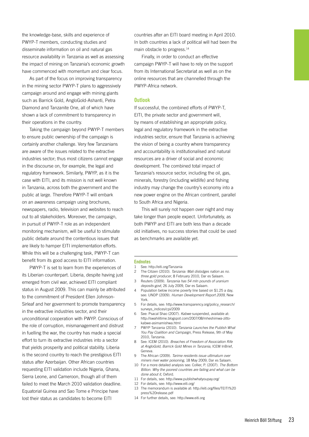As part of the focus on improving transparency in the mining sector PWYP-T plans to aggressively campaign around and engage with mining giants such as Barrick Gold, AngloGold-Ashanti, Petra Diamond and Tanzanite One, all of which have shown a lack of commitment to transparency in their operations in the country.

Taking the campaign beyond PWYP-T members to ensure public ownership of the campaign is certainly another challenge. Very few Tanzanians are aware of the issues related to the extractive industries sector; thus most citizens cannot engage in the discourse on, for example, the legal and regulatory framework. Similarly, PWYP, as it is the case with EITI, and its mission is not well known in Tanzania, across both the government and the public at large. Therefore PWYP-T will embark on an awareness campaign using brochures, newspapers, radio, television and websites to reach out to all stakeholders. Moreover, the campaign, in pursuit of PWYP-T role as an independent monitoring mechanism, will be useful to stimulate public debate around the contentious issues that are likely to hamper EITI implementation efforts. While this will be a challenging task, PWYP-T can benefit from its good access to EITI information.

PWYP-T is set to learn from the experiences of its Liberian counterpart. Liberia, despite having just emerged from civil war, achieved EITI compliant status in August 2009. This can mainly be attributed to the commitment of President Ellen Johnson-Sirleaf and her government to promote transparency in the extractive industries sector, and their unconditional cooperation with PWYP. Conscious of the role of corruption, mismanagement and distrust in fuelling the war, the country has made a special effort to turn its extractive industries into a sector that yields prosperity and political stability. Liberia is the second country to reach the prestigious EITI status after Azerbaijan. Other African countries requesting EITI validation include Nigeria, Ghana, Sierra Leone, and Cameroon, though all of them failed to meet the March 2010 validation deadline. Equatorial Guinea and Sao Tome e Principe have lost their status as candidates to become EITI

countries after an EITI board meeting in April 2010. In both countries a lack of political will had been the main obstacle to progress.<sup>14</sup>

Finally, in order to conduct an effective campaign PWYP-T will have to rely on the support from its International Secretariat as well as on the online resources that are channelled through the PWYP-Africa network.

#### **Outlook**

If successful, the combined efforts of PWYP-T, EITI, the private sector and government will, by means of establishing an appropriate policy, legal and regulatory framework in the extractive industries sector, ensure that Tanzania is achieving the vision of being a country where transparency and accountability is institutionalised and natural resources are a driver of social and economic development. The combined total impact of Tanzania's resource sector, including the oil, gas, minerals, forestry (including wildlife) and fishing industry may change the country's economy into a new power engine on the African continent, parallel to South Africa and Nigeria.

This will surely not happen over night and may take longer than people expect. Unfortunately, as both PWYP and EITI are both less than a decade old initiatives, no success stories that could be used as benchmarks are available yet.

#### **Endnotes**

- 1 See: http://eiti.org/Tanzania
- 2 The Citizen (2010). *Tanzania: Mali dislodges nation as no. three gold producer*, 8 February 2010, Dar es Salaam.
- 3 Reuters (2009). *Tanzania has 54 mln pounds of uranium deposits-govt*, 26 July 2009, Dar es Salaam.
- 4 Population below income poverty line based on \$1.25 a day, see: UNDP (2009). *Human Development Report 2009*, New York.
- 5 For details, see: http://www.transparency.org/policy\_research/ surveys\_indices/cpi/2009
- 6 See: Psacal Shao (2007). *Kabwe* suspended, available at: http://swahilitime.blogspot.com/2007/08/mheshimwa-zittokabwe-asimamishwa.html
- 7 PWYP Tanzania (2010). *Tanzania Launches the Publish What You Pay Coalition and Campaign*, Press Release, 9th of May 2010, Tanzania.
- 8 See: ICEM (2010). *Breaches of Freedom of Association Rife at AngloGold, Barrick Gold Mines in Tanzania*, ICEM InBrief, Geneva.
- 9 The African (2009). *Tarime residents issue ultimatum over miners river water poisoning*, 18 May 2009, Dar es Salaam.
- 10 For a more detailed analysis see: Collier, P. (2007). *The Bottom Billion. Why the poorest countries are failing and what can be done about it*, Oxford.
- 11 For details, see: http://www.publishwhatyoupay.org/
- 12 For details, see: http://www.eiti.org/
- 13 The memorandum is available at: http://eiti.org/files/TEITI%20 press%20release.pdf
- 14 For further details, see: http://www.eiti.org